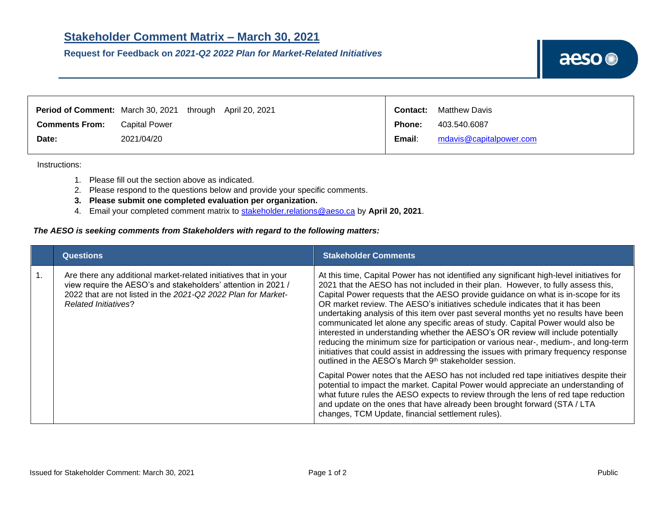**Request for Feedback on** *2021-Q2 2022 Plan for Market-Related Initiatives*



|                       | Period of Comment: March 30, 2021 through April 20, 2021 | <b>Contact:</b> | <b>Matthew Davis</b>    |
|-----------------------|----------------------------------------------------------|-----------------|-------------------------|
| <b>Comments From:</b> | <b>Capital Power</b>                                     | <b>Phone:</b>   | 403.540.6087            |
| Date:                 | 2021/04/20                                               | Email:          | mdavis@capitalpower.com |
|                       |                                                          |                 |                         |

Instructions:

- 1. Please fill out the section above as indicated.
- 2. Please respond to the questions below and provide your specific comments.
- **3. Please submit one completed evaluation per organization.**
- 4. Email your completed comment matrix to [stakeholder.relations@aeso.ca](mailto:stakeholder.relations@aeso.ca) by **April 20, 2021**.

## *The AESO is seeking comments from Stakeholders with regard to the following matters:*

|                  | <b>Questions</b>                                                                                                                                                                                                                  | <b>Stakeholder Comments</b>                                                                                                                                                                                                                                                                                                                                                                                                                                                                                                                                                                                                                                                                                                                                                                                                                                                                                                                                        |
|------------------|-----------------------------------------------------------------------------------------------------------------------------------------------------------------------------------------------------------------------------------|--------------------------------------------------------------------------------------------------------------------------------------------------------------------------------------------------------------------------------------------------------------------------------------------------------------------------------------------------------------------------------------------------------------------------------------------------------------------------------------------------------------------------------------------------------------------------------------------------------------------------------------------------------------------------------------------------------------------------------------------------------------------------------------------------------------------------------------------------------------------------------------------------------------------------------------------------------------------|
| $\overline{1}$ . | Are there any additional market-related initiatives that in your<br>view require the AESO's and stakeholders' attention in 2021 /<br>2022 that are not listed in the 2021-Q2 2022 Plan for Market-<br><b>Related Initiatives?</b> | At this time, Capital Power has not identified any significant high-level initiatives for<br>2021 that the AESO has not included in their plan. However, to fully assess this,<br>Capital Power requests that the AESO provide guidance on what is in-scope for its<br>OR market review. The AESO's initiatives schedule indicates that it has been<br>undertaking analysis of this item over past several months yet no results have been<br>communicated let alone any specific areas of study. Capital Power would also be<br>interested in understanding whether the AESO's OR review will include potentially<br>reducing the minimum size for participation or various near-, medium-, and long-term<br>initiatives that could assist in addressing the issues with primary frequency response<br>outlined in the AESO's March 9 <sup>th</sup> stakeholder session.<br>Capital Power notes that the AESO has not included red tape initiatives despite their |
|                  |                                                                                                                                                                                                                                   | potential to impact the market. Capital Power would appreciate an understanding of<br>what future rules the AESO expects to review through the lens of red tape reduction<br>and update on the ones that have already been brought forward (STA / LTA<br>changes, TCM Update, financial settlement rules).                                                                                                                                                                                                                                                                                                                                                                                                                                                                                                                                                                                                                                                         |